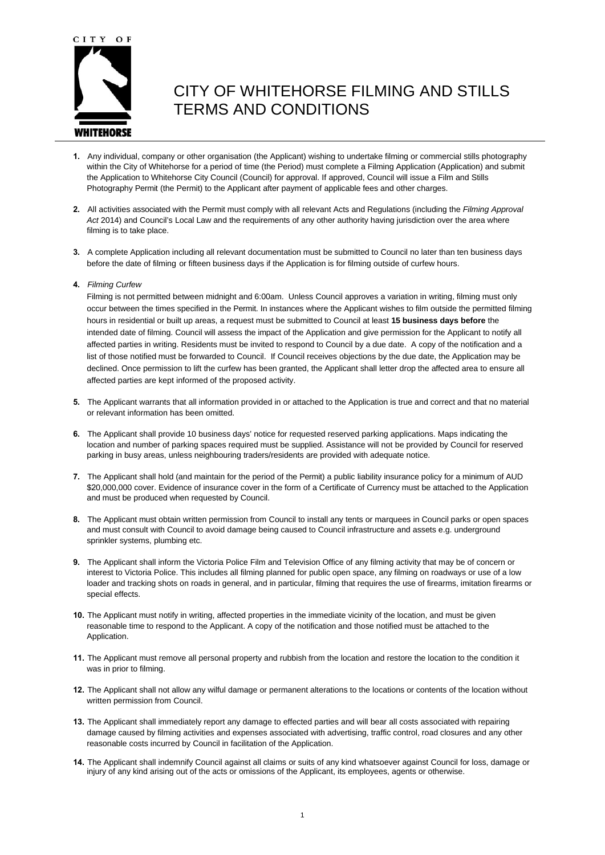

# CITY OF WHITEHORSE FILMING AND STILLS TERMS AND CONDITIONS

- **1.** Any individual, company or other organisation (the Applicant) wishing to undertake filming or commercial stills photography within the City of Whitehorse for a period of time (the Period) must complete a Filming Application (Application) and submit the Application to Whitehorse City Council (Council) for approval. If approved, Council will issue a Film and Stills Photography Permit (the Permit) to the Applicant after payment of applicable fees and other charges.
- **2.** All activities associated with the Permit must comply with all relevant Acts and Regulations (including the *Filming Approval Act* 2014) and Council's Local Law and the requirements of any other authority having jurisdiction over the area where filming is to take place.
- **3.** A complete Application including all relevant documentation must be submitted to Council no later than ten business days before the date of filming or fifteen business days if the Application is for filming outside of curfew hours.
- **4.** *Filming Curfew*

Filming is not permitted between midnight and 6:00am. Unless Council approves a variation in writing, filming must only occur between the times specified in the Permit. In instances where the Applicant wishes to film outside the permitted filming hours in residential or built up areas, a request must be submitted to Council at least **15 business days before** the intended date of filming. Council will assess the impact of the Application and give permission for the Applicant to notify all affected parties in writing. Residents must be invited to respond to Council by a due date. A copy of the notification and a list of those notified must be forwarded to Council. If Council receives objections by the due date, the Application may be declined. Once permission to lift the curfew has been granted, the Applicant shall letter drop the affected area to ensure all affected parties are kept informed of the proposed activity.

- **5.** The Applicant warrants that all information provided in or attached to the Application is true and correct and that no material or relevant information has been omitted.
- **6.** The Applicant shall provide 10 business days' notice for requested reserved parking applications. Maps indicating the location and number of parking spaces required must be supplied. Assistance will not be provided by Council for reserved parking in busy areas, unless neighbouring traders/residents are provided with adequate notice.
- **7.** The Applicant shall hold (and maintain for the period of the Permit) a public liability insurance policy for a minimum of AUD \$20,000,000 cover. Evidence of insurance cover in the form of a Certificate of Currency must be attached to the Application and must be produced when requested by Council.
- **8.** The Applicant must obtain written permission from Council to install any tents or marquees in Council parks or open spaces and must consult with Council to avoid damage being caused to Council infrastructure and assets e.g. underground sprinkler systems, plumbing etc.
- **9.** The Applicant shall inform the Victoria Police Film and Television Office of any filming activity that may be of concern or interest to Victoria Police. This includes all filming planned for public open space, any filming on roadways or use of a low loader and tracking shots on roads in general, and in particular, filming that requires the use of firearms, imitation firearms or special effects.
- **10.** The Applicant must notify in writing, affected properties in the immediate vicinity of the location, and must be given reasonable time to respond to the Applicant. A copy of the notification and those notified must be attached to the Application.
- **11.** The Applicant must remove all personal property and rubbish from the location and restore the location to the condition it was in prior to filming.
- **12.** The Applicant shall not allow any wilful damage or permanent alterations to the locations or contents of the location without written permission from Council.
- **13.** The Applicant shall immediately report any damage to effected parties and will bear all costs associated with repairing damage caused by filming activities and expenses associated with advertising, traffic control, road closures and any other reasonable costs incurred by Council in facilitation of the Application.
- **14.** The Applicant shall indemnify Council against all claims or suits of any kind whatsoever against Council for loss, damage or injury of any kind arising out of the acts or omissions of the Applicant, its employees, agents or otherwise.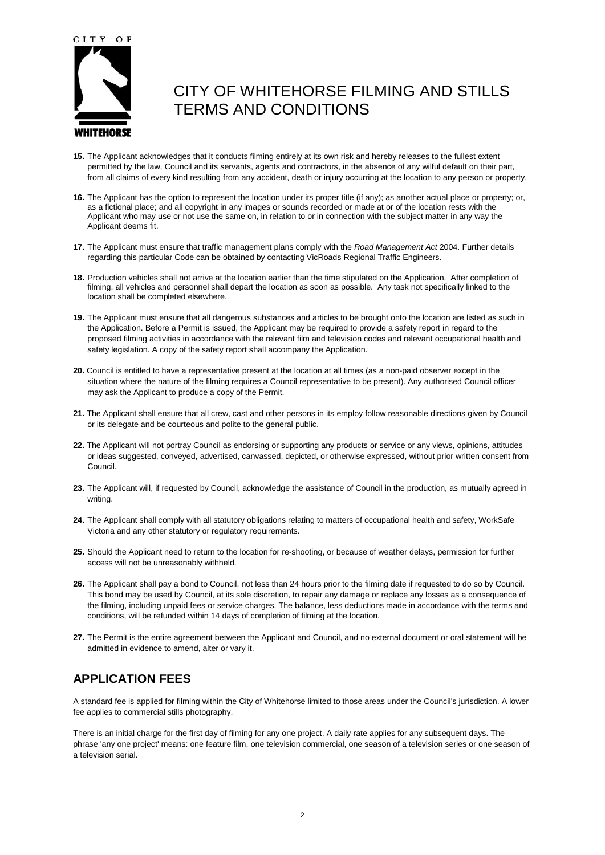

# CITY OF WHITEHORSE FILMING AND STILLS TERMS AND CONDITIONS

- **15.** The Applicant acknowledges that it conducts filming entirely at its own risk and hereby releases to the fullest extent permitted by the law, Council and its servants, agents and contractors, in the absence of any wilful default on their part, from all claims of every kind resulting from any accident, death or injury occurring at the location to any person or property.
- **16.** The Applicant has the option to represent the location under its proper title (if any); as another actual place or property; or, as a fictional place; and all copyright in any images or sounds recorded or made at or of the location rests with the Applicant who may use or not use the same on, in relation to or in connection with the subject matter in any way the Applicant deems fit.
- **17.** The Applicant must ensure that traffic management plans comply with the *Road Management Act* 2004. Further details regarding this particular Code can be obtained by contacting VicRoads Regional Traffic Engineers.
- **18.** Production vehicles shall not arrive at the location earlier than the time stipulated on the Application. After completion of filming, all vehicles and personnel shall depart the location as soon as possible. Any task not specifically linked to the location shall be completed elsewhere.
- **19.** The Applicant must ensure that all dangerous substances and articles to be brought onto the location are listed as such in the Application. Before a Permit is issued, the Applicant may be required to provide a safety report in regard to the proposed filming activities in accordance with the relevant film and television codes and relevant occupational health and safety legislation. A copy of the safety report shall accompany the Application.
- **20.** Council is entitled to have a representative present at the location at all times (as a non-paid observer except in the situation where the nature of the filming requires a Council representative to be present). Any authorised Council officer may ask the Applicant to produce a copy of the Permit.
- **21.** The Applicant shall ensure that all crew, cast and other persons in its employ follow reasonable directions given by Council or its delegate and be courteous and polite to the general public.
- **22.** The Applicant will not portray Council as endorsing or supporting any products or service or any views, opinions, attitudes or ideas suggested, conveyed, advertised, canvassed, depicted, or otherwise expressed, without prior written consent from Council.
- **23.** The Applicant will, if requested by Council, acknowledge the assistance of Council in the production, as mutually agreed in writing.
- **24.** The Applicant shall comply with all statutory obligations relating to matters of occupational health and safety, WorkSafe Victoria and any other statutory or regulatory requirements.
- **25.** Should the Applicant need to return to the location for re-shooting, or because of weather delays, permission for further access will not be unreasonably withheld.
- **26.** The Applicant shall pay a bond to Council, not less than 24 hours prior to the filming date if requested to do so by Council. This bond may be used by Council, at its sole discretion, to repair any damage or replace any losses as a consequence of the filming, including unpaid fees or service charges. The balance, less deductions made in accordance with the terms and conditions, will be refunded within 14 days of completion of filming at the location.
- **27.** The Permit is the entire agreement between the Applicant and Council, and no external document or oral statement will be admitted in evidence to amend, alter or vary it.

### **APPLICATION FEES**

A standard fee is applied for filming within the City of Whitehorse limited to those areas under the Council's jurisdiction. A lower fee applies to commercial stills photography.

There is an initial charge for the first day of filming for any one project. A daily rate applies for any subsequent days. The phrase 'any one project' means: one feature film, one television commercial, one season of a television series or one season of a television serial.